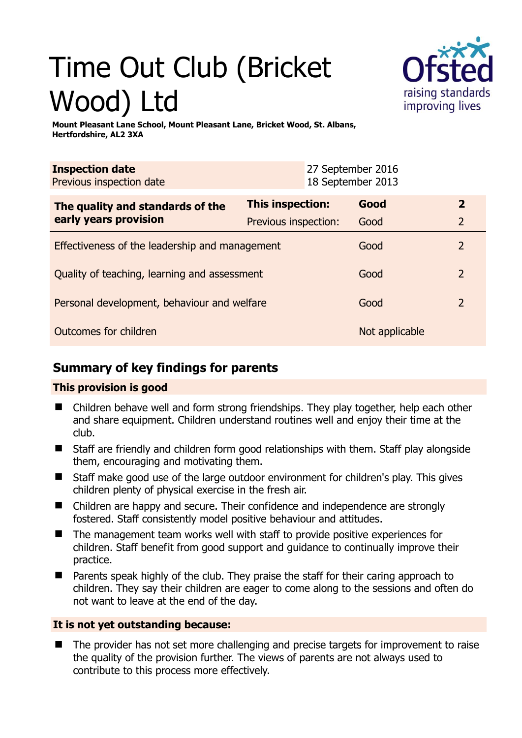# Time Out Club (Bricket Wood) Ltd



**Mount Pleasant Lane School, Mount Pleasant Lane, Bricket Wood, St. Albans, Hertfordshire, AL2 3XA** 

| <b>Inspection date</b><br>Previous inspection date        |                      | 27 September 2016<br>18 September 2013 |                |                |
|-----------------------------------------------------------|----------------------|----------------------------------------|----------------|----------------|
| The quality and standards of the<br>early years provision | This inspection:     |                                        | Good           | $\mathbf{z}$   |
|                                                           | Previous inspection: |                                        | Good           | $\overline{2}$ |
| Effectiveness of the leadership and management            |                      |                                        | Good           | 2              |
| Quality of teaching, learning and assessment              |                      |                                        | Good           | $\overline{2}$ |
| Personal development, behaviour and welfare               |                      |                                        | Good           | 2              |
| Outcomes for children                                     |                      |                                        | Not applicable |                |

# **Summary of key findings for parents**

#### **This provision is good**

- Children behave well and form strong friendships. They play together, help each other and share equipment. Children understand routines well and enjoy their time at the club.
- Staff are friendly and children form good relationships with them. Staff play alongside them, encouraging and motivating them.
- Staff make good use of the large outdoor environment for children's play. This gives children plenty of physical exercise in the fresh air.
- Children are happy and secure. Their confidence and independence are strongly fostered. Staff consistently model positive behaviour and attitudes.
- The management team works well with staff to provide positive experiences for children. Staff benefit from good support and guidance to continually improve their practice.
- **Parents speak highly of the club. They praise the staff for their caring approach to** children. They say their children are eager to come along to the sessions and often do not want to leave at the end of the day.

### **It is not yet outstanding because:**

■ The provider has not set more challenging and precise targets for improvement to raise the quality of the provision further. The views of parents are not always used to contribute to this process more effectively.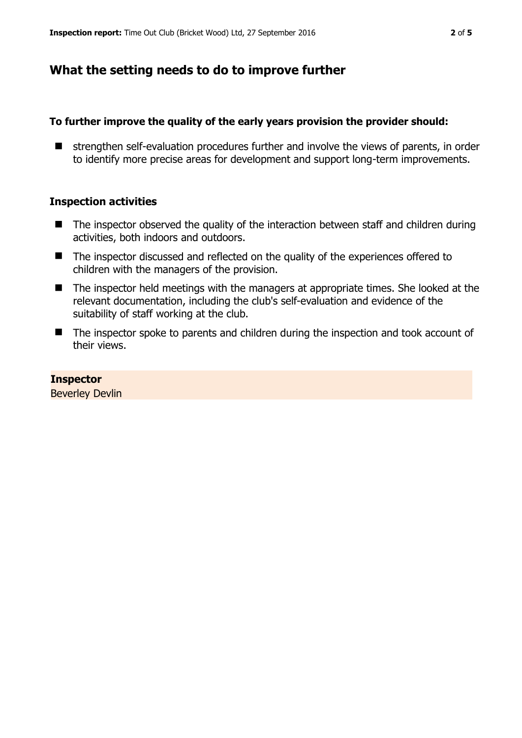## **What the setting needs to do to improve further**

#### **To further improve the quality of the early years provision the provider should:**

 strengthen self-evaluation procedures further and involve the views of parents, in order to identify more precise areas for development and support long-term improvements.

#### **Inspection activities**

- $\blacksquare$  The inspector observed the quality of the interaction between staff and children during activities, both indoors and outdoors.
- The inspector discussed and reflected on the quality of the experiences offered to children with the managers of the provision.
- The inspector held meetings with the managers at appropriate times. She looked at the relevant documentation, including the club's self-evaluation and evidence of the suitability of staff working at the club.
- The inspector spoke to parents and children during the inspection and took account of their views.

#### **Inspector**

Beverley Devlin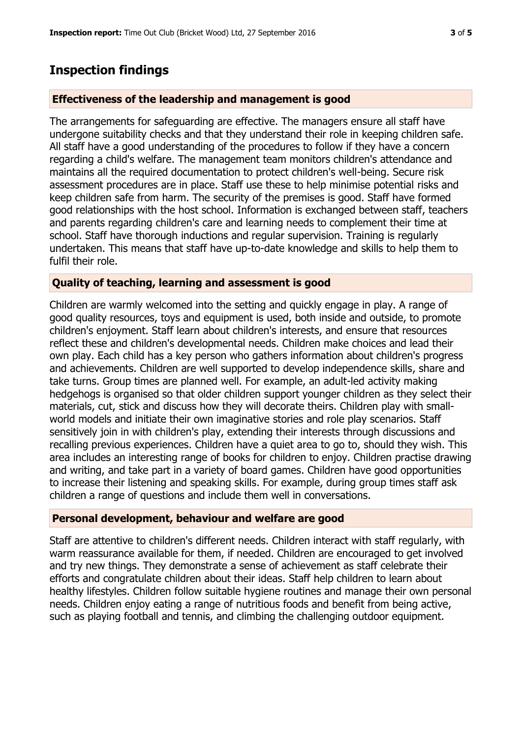## **Inspection findings**

#### **Effectiveness of the leadership and management is good**

The arrangements for safeguarding are effective. The managers ensure all staff have undergone suitability checks and that they understand their role in keeping children safe. All staff have a good understanding of the procedures to follow if they have a concern regarding a child's welfare. The management team monitors children's attendance and maintains all the required documentation to protect children's well-being. Secure risk assessment procedures are in place. Staff use these to help minimise potential risks and keep children safe from harm. The security of the premises is good. Staff have formed good relationships with the host school. Information is exchanged between staff, teachers and parents regarding children's care and learning needs to complement their time at school. Staff have thorough inductions and regular supervision. Training is regularly undertaken. This means that staff have up-to-date knowledge and skills to help them to fulfil their role.

#### **Quality of teaching, learning and assessment is good**

Children are warmly welcomed into the setting and quickly engage in play. A range of good quality resources, toys and equipment is used, both inside and outside, to promote children's enjoyment. Staff learn about children's interests, and ensure that resources reflect these and children's developmental needs. Children make choices and lead their own play. Each child has a key person who gathers information about children's progress and achievements. Children are well supported to develop independence skills, share and take turns. Group times are planned well. For example, an adult-led activity making hedgehogs is organised so that older children support younger children as they select their materials, cut, stick and discuss how they will decorate theirs. Children play with smallworld models and initiate their own imaginative stories and role play scenarios. Staff sensitively join in with children's play, extending their interests through discussions and recalling previous experiences. Children have a quiet area to go to, should they wish. This area includes an interesting range of books for children to enjoy. Children practise drawing and writing, and take part in a variety of board games. Children have good opportunities to increase their listening and speaking skills. For example, during group times staff ask children a range of questions and include them well in conversations.

#### **Personal development, behaviour and welfare are good**

Staff are attentive to children's different needs. Children interact with staff regularly, with warm reassurance available for them, if needed. Children are encouraged to get involved and try new things. They demonstrate a sense of achievement as staff celebrate their efforts and congratulate children about their ideas. Staff help children to learn about healthy lifestyles. Children follow suitable hygiene routines and manage their own personal needs. Children enjoy eating a range of nutritious foods and benefit from being active, such as playing football and tennis, and climbing the challenging outdoor equipment.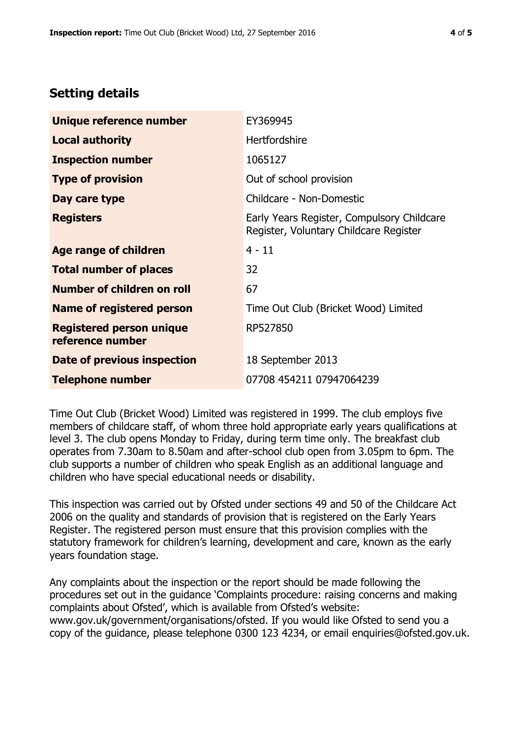## **Setting details**

| Unique reference number                             | EY369945                                                                             |  |
|-----------------------------------------------------|--------------------------------------------------------------------------------------|--|
| <b>Local authority</b>                              | <b>Hertfordshire</b>                                                                 |  |
| <b>Inspection number</b>                            | 1065127                                                                              |  |
| <b>Type of provision</b>                            | Out of school provision                                                              |  |
| Day care type                                       | Childcare - Non-Domestic                                                             |  |
| <b>Registers</b>                                    | Early Years Register, Compulsory Childcare<br>Register, Voluntary Childcare Register |  |
| Age range of children                               | $4 - 11$                                                                             |  |
| <b>Total number of places</b>                       | 32                                                                                   |  |
| Number of children on roll                          | 67                                                                                   |  |
| Name of registered person                           | Time Out Club (Bricket Wood) Limited                                                 |  |
| <b>Registered person unique</b><br>reference number | RP527850                                                                             |  |
| <b>Date of previous inspection</b>                  | 18 September 2013                                                                    |  |
| <b>Telephone number</b>                             | 07708 454211 07947064239                                                             |  |

Time Out Club (Bricket Wood) Limited was registered in 1999. The club employs five members of childcare staff, of whom three hold appropriate early years qualifications at level 3. The club opens Monday to Friday, during term time only. The breakfast club operates from 7.30am to 8.50am and after-school club open from 3.05pm to 6pm. The club supports a number of children who speak English as an additional language and children who have special educational needs or disability.

This inspection was carried out by Ofsted under sections 49 and 50 of the Childcare Act 2006 on the quality and standards of provision that is registered on the Early Years Register. The registered person must ensure that this provision complies with the statutory framework for children's learning, development and care, known as the early years foundation stage.

Any complaints about the inspection or the report should be made following the procedures set out in the guidance 'Complaints procedure: raising concerns and making complaints about Ofsted', which is available from Ofsted's website: www.gov.uk/government/organisations/ofsted. If you would like Ofsted to send you a copy of the guidance, please telephone 0300 123 4234, or email enquiries@ofsted.gov.uk.